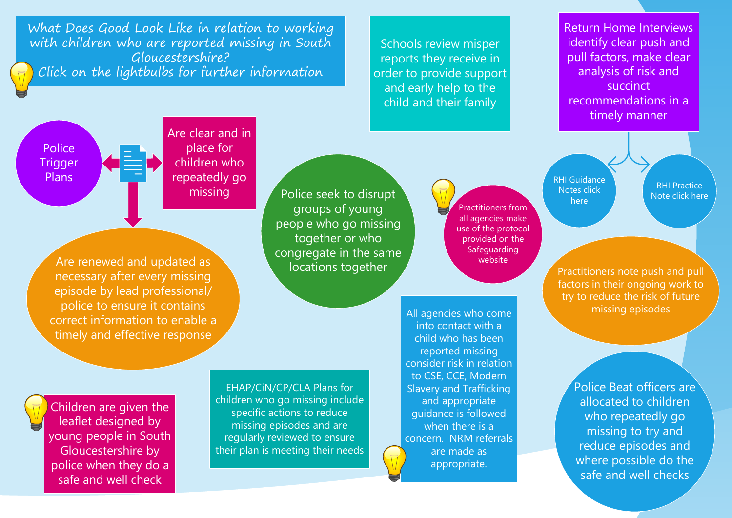What Does Good Look Like in relation to working with children who are reported missing in South Gloucestershire? Click on the lightbulbs for further information

Schools review misper reports they receive in order to provide support and early help to the child and their family

Return Home Interviews identify clear push and pull factors, make clear analysis of risk and succinct recommendations in a timely manner

Police **Trigger** Plans

Are clear and in place for children who repeatedly go missing

Are renewed and updated as necessary after every missing episode by lead professional/ police to ensure it contains correct information to enable a timely and effective response

Police seek to disrupt groups of young people who go missing together or who congregate in the same locations together

[Pr](http://sites.southglos.gov.uk/safeguarding/wp-content/uploads/sites/221/2017/11/Children-Missing-from-Home-Care-and-School-Multi-Agency-Protocol-February-2019.pdf)actitioners from all agencies make use of the protocol provided on the Safeguarding website

All agencies who come into contact with a child who has been reported missing and appropriate when there is a are made as

[RHI Guidance](https://sites.southglos.gov.uk/safeguarding/wp-content/uploads/sites/221/2017/11/Guidance-Notes-on-Completion-of-Return-Home-Interviews-March-22.pdf)  Notes click here

RHI Practice [Note click here](https://sites.southglos.gov.uk/safeguarding/wp-content/uploads/sites/221/2017/11/Practice-Note-RHI-Dec-2021-v.2.pdf)

Practitioners note push and pull factors in their ongoing work to try to reduce the risk of future missing episodes

Police Beat officers are allocated to children who repeatedly go missing to try and reduce episodes and where possible do the safe and well checks

[Ch](http://sites.southglos.gov.uk/safeguarding/wp-content/uploads/sites/221/2017/11/Missing-Children-Leaflet.pdf)ildren are given the leaflet designed by [young people in South](http://sites.southglos.gov.uk/safeguarding/children/i-am-a-professional/child-exploitation/)  Gloucestershire by police when they do a safe and well check

EHAP/CiN/CP/CLA Plans for children who go missing include specific actions to reduce missing episodes and are regularly reviewed to ensure their plan is meeting their needs consider risk in relation to CSE, CCE, Modern Slavery and Trafficking guidance is followed concern. NRM referrals appropriate.